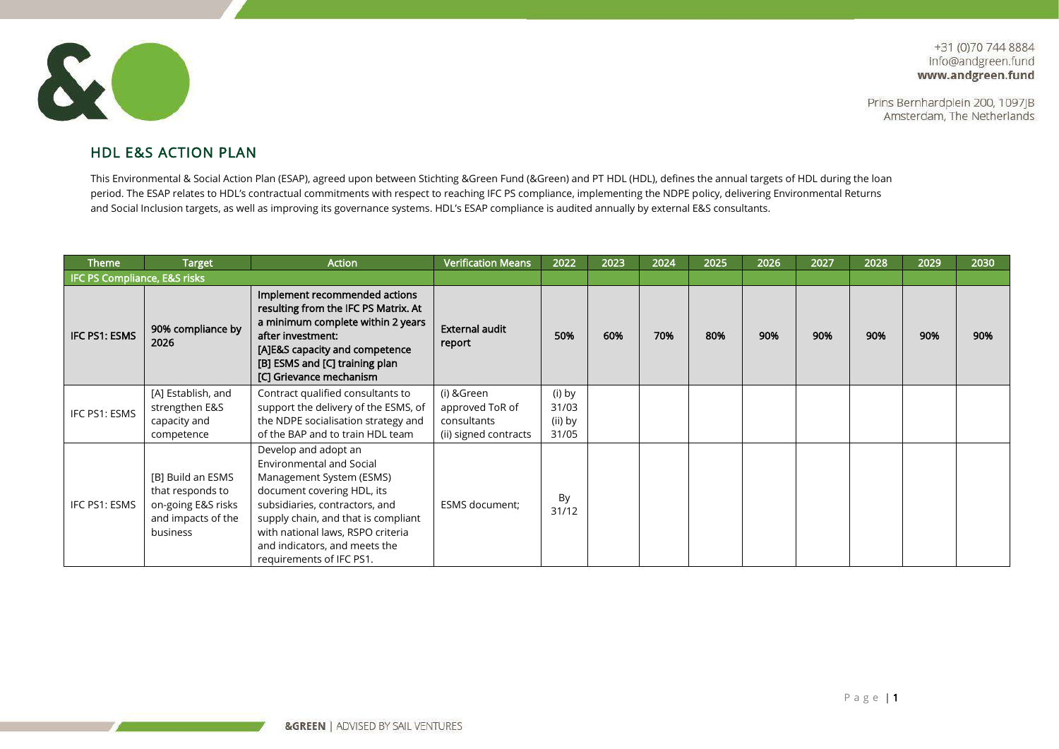Prins Bernhardplein 200, 1097JB Amsterdam, The Netherlands



## HDL E&S ACTION PLAN

This Environmental & Social Action Plan (ESAP), agreed upon between Stichting &Green Fund (&Green) and PT HDL (HDL), defines the annual targets of HDL during the loan period. The ESAP relates to HDL's contractual commitments with respect to reaching IFC PS compliance, implementing the NDPE policy, delivering Environmental Returns and Social Inclusion targets, as well as improving its governance systems. HDL's ESAP compliance is audited annually by external E&S consultants.

| <b>Theme</b>                 | <b>Target</b>                                                                                 | <b>Action</b>                                                                                                                                                                                                                                                                         | <b>Verification Means</b>                                             | 2022                                | 2023 | 2024 | 2025 | 2026 | 2027 | 2028 | 2029 | 2030 |
|------------------------------|-----------------------------------------------------------------------------------------------|---------------------------------------------------------------------------------------------------------------------------------------------------------------------------------------------------------------------------------------------------------------------------------------|-----------------------------------------------------------------------|-------------------------------------|------|------|------|------|------|------|------|------|
| IFC PS Compliance, E&S risks |                                                                                               |                                                                                                                                                                                                                                                                                       |                                                                       |                                     |      |      |      |      |      |      |      |      |
| IFC PS1: ESMS                | 90% compliance by<br>2026                                                                     | Implement recommended actions<br>resulting from the IFC PS Matrix. At<br>a minimum complete within 2 years<br>after investment:<br>[A]E&S capacity and competence<br>[B] ESMS and [C] training plan<br>[C] Grievance mechanism                                                        | <b>External audit</b><br>report                                       | 50%                                 | 60%  | 70%  | 80%  | 90%  | 90%  | 90%  | 90%  | 90%  |
| IFC PS1: ESMS                | [A] Establish, and<br>strengthen E&S<br>capacity and<br>competence                            | Contract qualified consultants to<br>support the delivery of the ESMS, of<br>the NDPE socialisation strategy and<br>of the BAP and to train HDL team                                                                                                                                  | (i) &Green<br>approved ToR of<br>consultants<br>(ii) signed contracts | (i) by<br>31/03<br>(ii) by<br>31/05 |      |      |      |      |      |      |      |      |
| IFC PS1: ESMS                | [B] Build an ESMS<br>that responds to<br>on-going E&S risks<br>and impacts of the<br>business | Develop and adopt an<br>Environmental and Social<br>Management System (ESMS)<br>document covering HDL, its<br>subsidiaries, contractors, and<br>supply chain, and that is compliant<br>with national laws, RSPO criteria<br>and indicators, and meets the<br>requirements of IFC PS1. | ESMS document;                                                        | By<br>31/12                         |      |      |      |      |      |      |      |      |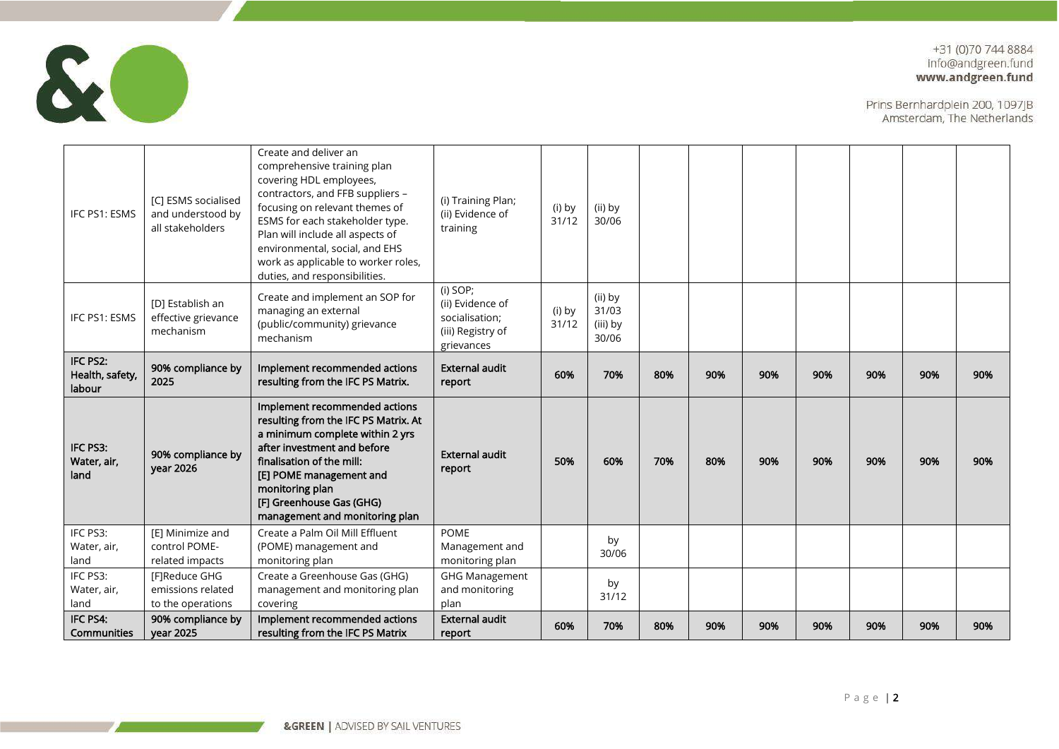

| IFC PS1: ESMS                         | [C] ESMS socialised<br>and understood by<br>all stakeholders | Create and deliver an<br>comprehensive training plan<br>covering HDL employees,<br>contractors, and FFB suppliers -<br>focusing on relevant themes of<br>ESMS for each stakeholder type.<br>Plan will include all aspects of<br>environmental, social, and EHS<br>work as applicable to worker roles,<br>duties, and responsibilities. | (i) Training Plan;<br>(ii) Evidence of<br>training                                | (i) by<br>31/12 | (ii) by<br>30/06                      |     |     |     |     |     |     |     |
|---------------------------------------|--------------------------------------------------------------|----------------------------------------------------------------------------------------------------------------------------------------------------------------------------------------------------------------------------------------------------------------------------------------------------------------------------------------|-----------------------------------------------------------------------------------|-----------------|---------------------------------------|-----|-----|-----|-----|-----|-----|-----|
| IFC PS1: ESMS                         | [D] Establish an<br>effective grievance<br>mechanism         | Create and implement an SOP for<br>managing an external<br>(public/community) grievance<br>mechanism                                                                                                                                                                                                                                   | (i) SOP;<br>(ii) Evidence of<br>socialisation;<br>(iii) Registry of<br>grievances | (i) by<br>31/12 | (ii) by<br>31/03<br>(iii) by<br>30/06 |     |     |     |     |     |     |     |
| IFC PS2:<br>Health, safety,<br>labour | 90% compliance by<br>2025                                    | Implement recommended actions<br>resulting from the IFC PS Matrix.                                                                                                                                                                                                                                                                     | <b>External audit</b><br>report                                                   | 60%             | 70%                                   | 80% | 90% | 90% | 90% | 90% | 90% | 90% |
| IFC PS3:<br>Water, air,<br>land       | 90% compliance by<br>year 2026                               | Implement recommended actions<br>resulting from the IFC PS Matrix. At<br>a minimum complete within 2 yrs<br>after investment and before<br>finalisation of the mill:<br>[E] POME management and<br>monitoring plan<br>[F] Greenhouse Gas (GHG)<br>management and monitoring plan                                                       | <b>External audit</b><br>report                                                   | 50%             | 60%                                   | 70% | 80% | 90% | 90% | 90% | 90% | 90% |
| IFC PS3:<br>Water, air,<br>land       | [E] Minimize and<br>control POME-<br>related impacts         | Create a Palm Oil Mill Effluent<br>(POME) management and<br>monitoring plan                                                                                                                                                                                                                                                            | <b>POME</b><br>Management and<br>monitoring plan                                  |                 | by<br>30/06                           |     |     |     |     |     |     |     |
| IFC PS3:<br>Water, air,<br>land       | [F]Reduce GHG<br>emissions related<br>to the operations      | Create a Greenhouse Gas (GHG)<br>management and monitoring plan<br>covering                                                                                                                                                                                                                                                            | <b>GHG Management</b><br>and monitoring<br>plan                                   |                 | by<br>31/12                           |     |     |     |     |     |     |     |
| IFC PS4:<br><b>Communities</b>        | 90% compliance by<br>vear 2025                               | Implement recommended actions<br>resulting from the IFC PS Matrix                                                                                                                                                                                                                                                                      | <b>External audit</b><br>report                                                   | 60%             | 70%                                   | 80% | 90% | 90% | 90% | 90% | 90% | 90% |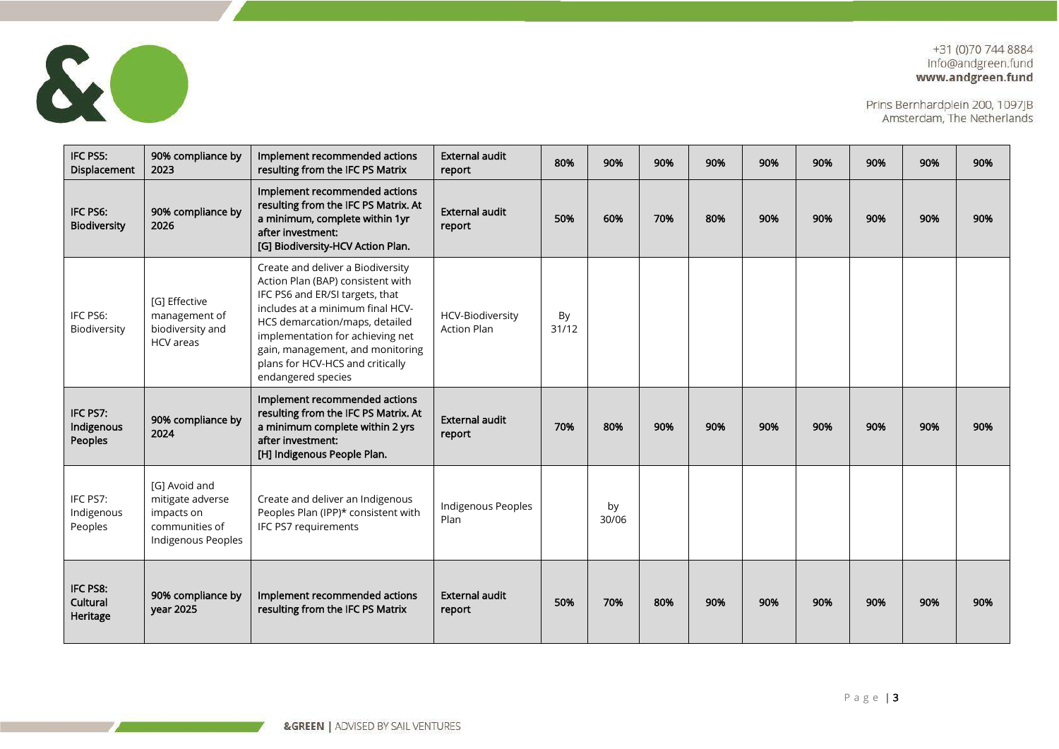

| IFC PS5:<br>Displacement          | 90% compliance by<br>2023                                                               | Implement recommended actions<br>resulting from the IFC PS Matrix                                                                                                                                                                                                                                                 | <b>External audit</b><br>report        | 80%         | 90%         | 90% | 90% | 90% | 90% | 90% | 90% | 90% |
|-----------------------------------|-----------------------------------------------------------------------------------------|-------------------------------------------------------------------------------------------------------------------------------------------------------------------------------------------------------------------------------------------------------------------------------------------------------------------|----------------------------------------|-------------|-------------|-----|-----|-----|-----|-----|-----|-----|
| IFC PS6:<br><b>Biodiversity</b>   | 90% compliance by<br>2026                                                               | Implement recommended actions<br>resulting from the IFC PS Matrix. At<br>a minimum, complete within 1yr<br>after investment:<br>[G] Biodiversity-HCV Action Plan.                                                                                                                                                 | <b>External audit</b><br>report        | 50%         | 60%         | 70% | 80% | 90% | 90% | 90% | 90% | 90% |
| IFC PS6:<br>Biodiversity          | [G] Effective<br>management of<br>biodiversity and<br>HCV areas                         | Create and deliver a Biodiversity<br>Action Plan (BAP) consistent with<br>IFC PS6 and ER/SI targets, that<br>includes at a minimum final HCV-<br>HCS demarcation/maps, detailed<br>implementation for achieving net<br>gain, management, and monitoring<br>plans for HCV-HCS and critically<br>endangered species | HCV-Biodiversity<br><b>Action Plan</b> | By<br>31/12 |             |     |     |     |     |     |     |     |
| IFC PS7:<br>Indigenous<br>Peoples | 90% compliance by<br>2024                                                               | Implement recommended actions<br>resulting from the IFC PS Matrix. At<br>a minimum complete within 2 yrs<br>after investment:<br>[H] Indigenous People Plan.                                                                                                                                                      | <b>External audit</b><br>report        | 70%         | 80%         | 90% | 90% | 90% | 90% | 90% | 90% | 90% |
| IFC PS7:<br>Indigenous<br>Peoples | [G] Avoid and<br>mitigate adverse<br>impacts on<br>communities of<br>Indigenous Peoples | Create and deliver an Indigenous<br>Peoples Plan (IPP)* consistent with<br>IFC PS7 requirements                                                                                                                                                                                                                   | Indigenous Peoples<br>Plan             |             | by<br>30/06 |     |     |     |     |     |     |     |
| IFC PS8:<br>Cultural<br>Heritage  | 90% compliance by<br><b>year 2025</b>                                                   | Implement recommended actions<br>resulting from the IFC PS Matrix                                                                                                                                                                                                                                                 | <b>External audit</b><br>report        | 50%         | 70%         | 80% | 90% | 90% | 90% | 90% | 90% | 90% |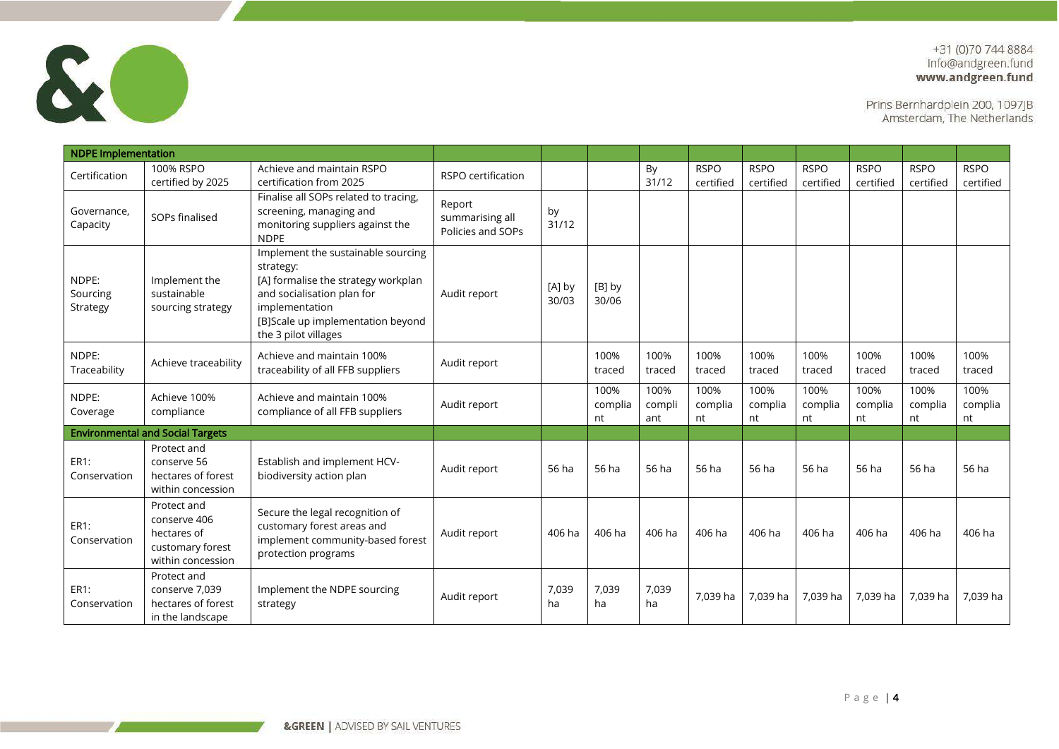

| <b>NDPE Implementation</b>    |                                                                                     |                                                                                                                                                                                                     |                                                |                 |                       |                       |                          |                          |                          |                          |                          |                          |
|-------------------------------|-------------------------------------------------------------------------------------|-----------------------------------------------------------------------------------------------------------------------------------------------------------------------------------------------------|------------------------------------------------|-----------------|-----------------------|-----------------------|--------------------------|--------------------------|--------------------------|--------------------------|--------------------------|--------------------------|
| Certification                 | 100% RSPO<br>certified by 2025                                                      | Achieve and maintain RSPO<br>certification from 2025                                                                                                                                                | RSPO certification                             |                 |                       | By<br>31/12           | <b>RSPO</b><br>certified | <b>RSPO</b><br>certified | <b>RSPO</b><br>certified | <b>RSPO</b><br>certified | <b>RSPO</b><br>certified | <b>RSPO</b><br>certified |
| Governance.<br>Capacity       | SOPs finalised                                                                      | Finalise all SOPs related to tracing,<br>screening, managing and<br>monitoring suppliers against the<br><b>NDPE</b>                                                                                 | Report<br>summarising all<br>Policies and SOPs | by<br>31/12     |                       |                       |                          |                          |                          |                          |                          |                          |
| NDPE:<br>Sourcing<br>Strategy | Implement the<br>sustainable<br>sourcing strategy                                   | Implement the sustainable sourcing<br>strategy:<br>[A] formalise the strategy workplan<br>and socialisation plan for<br>implementation<br>[B]Scale up implementation beyond<br>the 3 pilot villages | Audit report                                   | [A] by<br>30/03 | [B] by<br>30/06       |                       |                          |                          |                          |                          |                          |                          |
| NDPE:<br>Traceability         | Achieve traceability                                                                | Achieve and maintain 100%<br>traceability of all FFB suppliers                                                                                                                                      | Audit report                                   |                 | 100%<br>traced        | 100%<br>traced        | 100%<br>traced           | 100%<br>traced           | 100%<br>traced           | 100%<br>traced           | 100%<br>traced           | 100%<br>traced           |
| NDPE:<br>Coverage             | Achieve 100%<br>compliance                                                          | Achieve and maintain 100%<br>compliance of all FFB suppliers                                                                                                                                        | Audit report                                   |                 | 100%<br>complia<br>nt | 100%<br>compli<br>ant | 100%<br>complia<br>nt    | 100%<br>complia<br>nt    | 100%<br>complia<br>nt    | 100%<br>complia<br>nt    | 100%<br>complia<br>nt    | 100%<br>complia<br>nt    |
|                               | <b>Environmental and Social Targets</b>                                             |                                                                                                                                                                                                     |                                                |                 |                       |                       |                          |                          |                          |                          |                          |                          |
| ER1:<br>Conservation          | Protect and<br>conserve 56<br>hectares of forest<br>within concession               | Establish and implement HCV-<br>biodiversity action plan                                                                                                                                            | Audit report                                   | 56 ha           | 56 ha                 | 56 ha                 | 56 ha                    | 56 ha                    | 56 ha                    | 56 ha                    | 56 ha                    | 56 ha                    |
| ER1:<br>Conservation          | Protect and<br>conserve 406<br>hectares of<br>customary forest<br>within concession | Secure the legal recognition of<br>customary forest areas and<br>implement community-based forest<br>protection programs                                                                            | Audit report                                   | 406 ha          | 406 ha                | 406 ha                | 406 ha                   | 406 ha                   | 406 ha                   | 406 ha                   | 406 ha                   | 406 ha                   |
| ER1:<br>Conservation          | Protect and<br>conserve 7,039<br>hectares of forest<br>in the landscape             | Implement the NDPE sourcing<br>strategy                                                                                                                                                             | Audit report                                   | 7,039<br>ha     | 7,039<br>ha           | 7,039<br>ha           | 7.039 ha                 | 7.039 ha                 | 7.039 ha                 | 7.039 ha                 | 7,039 ha                 | 7,039 ha                 |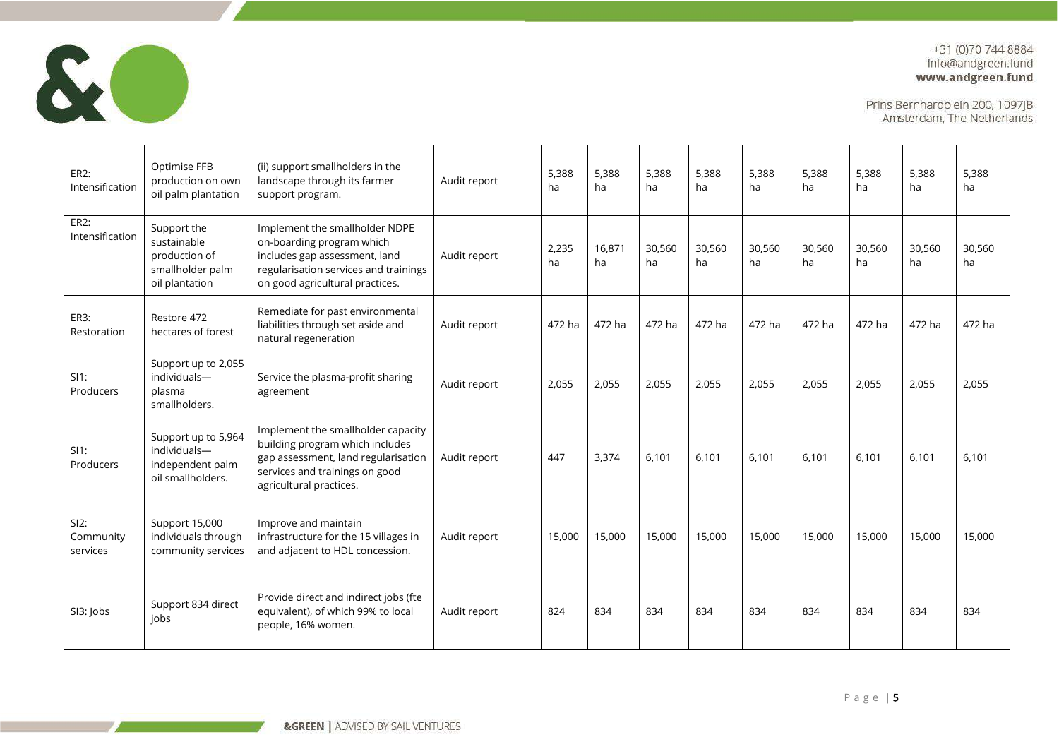

| ER2:<br>Intensification       | Optimise FFB<br>production on own<br>oil palm plantation                          | (ii) support smallholders in the<br>landscape through its farmer<br>support program.                                                                                      | Audit report | 5.388<br>ha | 5,388<br>ha  | 5.388<br>ha  | 5.388<br>ha  | 5.388<br>ha  | 5.388<br>ha  | 5,388<br>ha  | 5,388<br>ha  | 5,388<br>ha  |
|-------------------------------|-----------------------------------------------------------------------------------|---------------------------------------------------------------------------------------------------------------------------------------------------------------------------|--------------|-------------|--------------|--------------|--------------|--------------|--------------|--------------|--------------|--------------|
| ER2:<br>Intensification       | Support the<br>sustainable<br>production of<br>smallholder palm<br>oil plantation | Implement the smallholder NDPE<br>on-boarding program which<br>includes gap assessment, land<br>regularisation services and trainings<br>on good agricultural practices.  | Audit report | 2,235<br>ha | 16,871<br>ha | 30,560<br>ha | 30,560<br>ha | 30,560<br>ha | 30,560<br>ha | 30,560<br>ha | 30,560<br>ha | 30,560<br>ha |
| ER3:<br>Restoration           | Restore 472<br>hectares of forest                                                 | Remediate for past environmental<br>liabilities through set aside and<br>natural regeneration                                                                             | Audit report | 472 ha      | 472 ha       | 472 ha       | 472 ha       | 472 ha       | 472 ha       | 472 ha       | 472 ha       | 472 ha       |
| $SI1$ :<br>Producers          | Support up to 2,055<br>individuals-<br>plasma<br>smallholders.                    | Service the plasma-profit sharing<br>agreement                                                                                                                            | Audit report | 2,055       | 2,055        | 2,055        | 2,055        | 2,055        | 2,055        | 2,055        | 2,055        | 2,055        |
| $SI1$ :<br>Producers          | Support up to 5,964<br>individuals-<br>independent palm<br>oil smallholders.      | Implement the smallholder capacity<br>building program which includes<br>gap assessment, land regularisation<br>services and trainings on good<br>agricultural practices. | Audit report | 447         | 3,374        | 6.101        | 6.101        | 6.101        | 6.101        | 6.101        | 6.101        | 6.101        |
| SI2:<br>Community<br>services | Support 15,000<br>individuals through<br>community services                       | Improve and maintain<br>infrastructure for the 15 villages in<br>and adjacent to HDL concession.                                                                          | Audit report | 15,000      | 15,000       | 15,000       | 15,000       | 15,000       | 15,000       | 15,000       | 15,000       | 15,000       |
| SI3: Jobs                     | Support 834 direct<br>jobs                                                        | Provide direct and indirect jobs (fte<br>equivalent), of which 99% to local<br>people, 16% women.                                                                         | Audit report | 824         | 834          | 834          | 834          | 834          | 834          | 834          | 834          | 834          |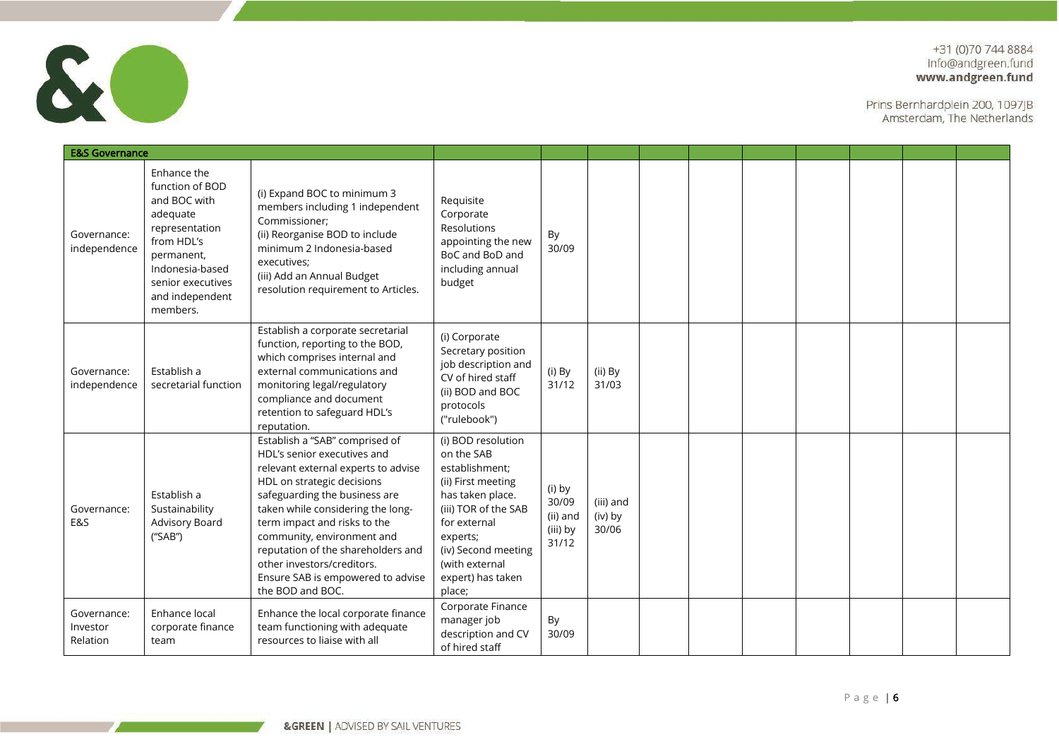

| <b>E&amp;S Governance</b>           |                                                                                                                                                                                 |                                                                                                                                                                                                                                                                                                                                                                                                     |                                                                                                                                                                                                                          |                                                  |                               |  |  |  |  |
|-------------------------------------|---------------------------------------------------------------------------------------------------------------------------------------------------------------------------------|-----------------------------------------------------------------------------------------------------------------------------------------------------------------------------------------------------------------------------------------------------------------------------------------------------------------------------------------------------------------------------------------------------|--------------------------------------------------------------------------------------------------------------------------------------------------------------------------------------------------------------------------|--------------------------------------------------|-------------------------------|--|--|--|--|
| Governance:<br>independence         | Enhance the<br>function of BOD<br>and BOC with<br>adequate<br>representation<br>from HDL's<br>permanent,<br>Indonesia-based<br>senior executives<br>and independent<br>members. | (i) Expand BOC to minimum 3<br>members including 1 independent<br>Commissioner;<br>(ii) Reorganise BOD to include<br>minimum 2 Indonesia-based<br>executives:<br>(iii) Add an Annual Budget<br>resolution requirement to Articles.                                                                                                                                                                  | Requisite<br>Corporate<br>Resolutions<br>appointing the new<br>BoC and BoD and<br>including annual<br>budget                                                                                                             | By<br>30/09                                      |                               |  |  |  |  |
| Governance:<br>independence         | Establish a<br>secretarial function                                                                                                                                             | Establish a corporate secretarial<br>function, reporting to the BOD,<br>which comprises internal and<br>external communications and<br>monitoring legal/regulatory<br>compliance and document<br>retention to safeguard HDL's<br>reputation.                                                                                                                                                        | (i) Corporate<br>Secretary position<br>job description and<br>CV of hired staff<br>(ii) BOD and BOC<br>protocols<br>("rulebook")                                                                                         | (i) By<br>31/12                                  | (ii) By<br>31/03              |  |  |  |  |
| Governance:<br>E&S                  | Establish a<br>Sustainability<br>Advisory Board<br>("SAB")                                                                                                                      | Establish a "SAB" comprised of<br>HDL's senior executives and<br>relevant external experts to advise<br>HDL on strategic decisions<br>safeguarding the business are<br>taken while considering the long-<br>term impact and risks to the<br>community, environment and<br>reputation of the shareholders and<br>other investors/creditors.<br>Ensure SAB is empowered to advise<br>the BOD and BOC. | (i) BOD resolution<br>on the SAB<br>establishment;<br>(ii) First meeting<br>has taken place.<br>(iii) TOR of the SAB<br>for external<br>experts;<br>(iv) Second meeting<br>(with external<br>expert) has taken<br>place; | (i) by<br>30/09<br>(ii) and<br>(iii) by<br>31/12 | (iii) and<br>(iv) by<br>30/06 |  |  |  |  |
| Governance:<br>Investor<br>Relation | Enhance local<br>corporate finance<br>team                                                                                                                                      | Enhance the local corporate finance<br>team functioning with adequate<br>resources to liaise with all                                                                                                                                                                                                                                                                                               | Corporate Finance<br>manager job<br>description and CV<br>of hired staff                                                                                                                                                 | By<br>30/09                                      |                               |  |  |  |  |